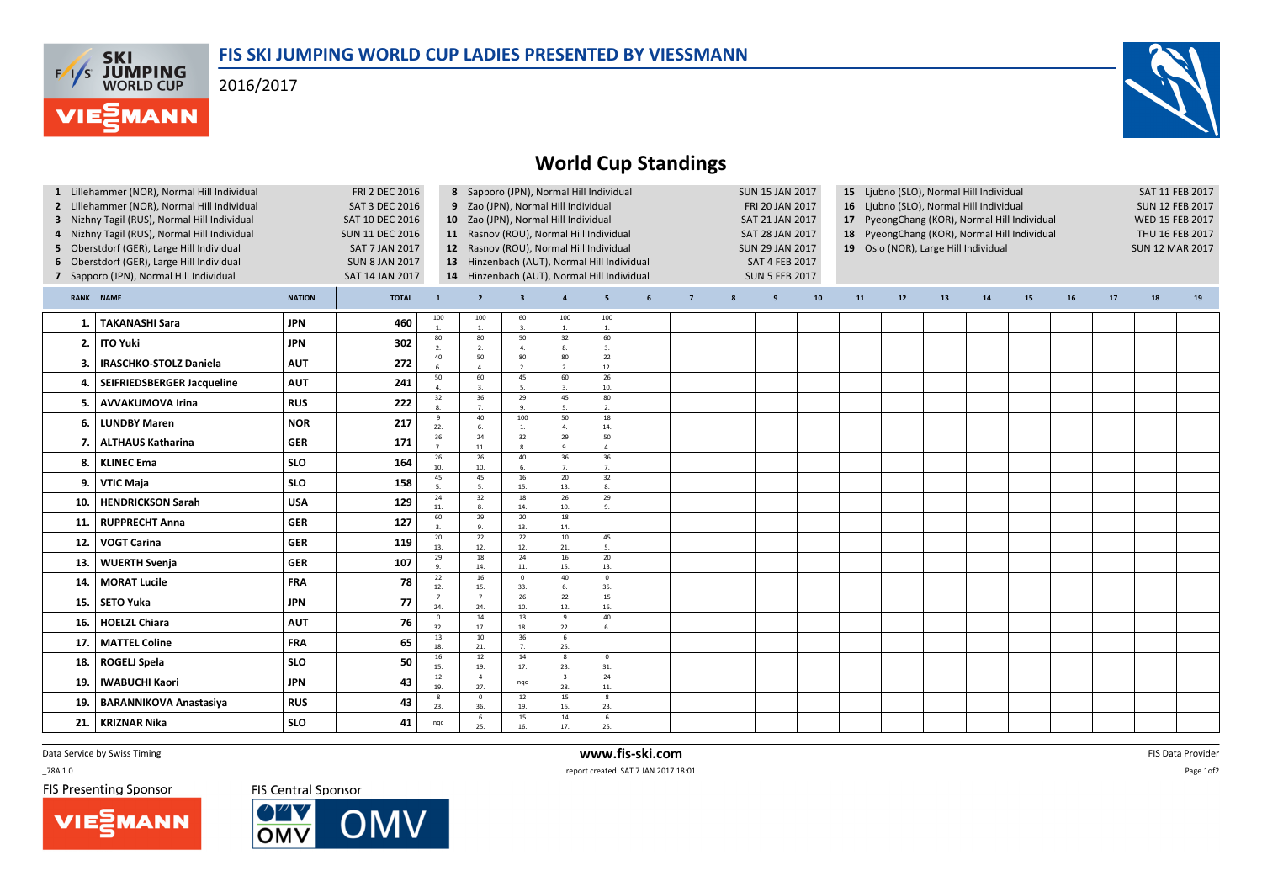## FIS SKI JUMPING WORLD CUP LADIES PRESENTED BY VIESSMANN

2016/2017

F/I/S SKI<br>WORLD CUP

**VIE** 

MANN



## World Cup Standings

| 1 Lillehammer (NOR), Normal Hill Individual<br>FRI 2 DEC 2016<br>2 Lillehammer (NOR), Normal Hill Individual<br><b>SAT 3 DEC 2016</b> |                               |               |              |                                             | 8 Sapporo (JPN), Normal Hill Individual<br>9 Zao (JPN), Normal Hill Individual |                         |                                |                               |   |                 |                        | <b>SUN 15 JAN 2017</b><br>FRI 20 JAN 2017 |                                              | 15 Ljubno (SLO), Normal Hill Individual<br>16 Ljubno (SLO), Normal Hill Individual |      |    |    |    |    |                        | SAT 11 FEB 2017<br><b>SUN 12 FEB 2017</b> |    |  |
|---------------------------------------------------------------------------------------------------------------------------------------|-------------------------------|---------------|--------------|---------------------------------------------|--------------------------------------------------------------------------------|-------------------------|--------------------------------|-------------------------------|---|-----------------|------------------------|-------------------------------------------|----------------------------------------------|------------------------------------------------------------------------------------|------|----|----|----|----|------------------------|-------------------------------------------|----|--|
| 3 Nizhny Tagil (RUS), Normal Hill Individual<br>SAT 10 DEC 2016                                                                       |                               |               |              |                                             | 10 Zao (JPN), Normal Hill Individual                                           |                         |                                |                               |   | SAT 21 JAN 2017 |                        |                                           |                                              | 17 PyeongChang (KOR), Normal Hill Individual                                       |      |    |    |    |    |                        | WED 15 FEB 2017                           |    |  |
| 4 Nizhny Tagil (RUS), Normal Hill Individual<br><b>SUN 11 DEC 2016</b>                                                                |                               |               |              | 11 Rasnov (ROU), Normal Hill Individual     |                                                                                |                         |                                |                               |   |                 | <b>SAT 28 JAN 2017</b> |                                           | 18 PyeongChang (KOR), Normal Hill Individual |                                                                                    |      |    |    |    |    | THU 16 FEB 2017        |                                           |    |  |
| Oberstdorf (GER), Large Hill Individual<br><b>SAT 7 JAN 2017</b><br>5                                                                 |                               |               |              | 12 Rasnov (ROU), Normal Hill Individual     |                                                                                |                         |                                |                               |   |                 | <b>SUN 29 JAN 2017</b> |                                           | 19 Oslo (NOR), Large Hill Individual         |                                                                                    |      |    |    |    |    | <b>SUN 12 MAR 2017</b> |                                           |    |  |
| Oberstdorf (GER), Large Hill Individual<br><b>SUN 8 JAN 2017</b><br>6                                                                 |                               |               |              | 13 Hinzenbach (AUT), Normal Hill Individual |                                                                                |                         |                                |                               |   |                 | <b>SAT 4 FEB 2017</b>  |                                           |                                              |                                                                                    |      |    |    |    |    |                        |                                           |    |  |
| 7 Sapporo (JPN), Normal Hill Individual<br>SAT 14 JAN 2017                                                                            |                               |               |              | 14 Hinzenbach (AUT), Normal Hill Individual |                                                                                |                         |                                |                               |   |                 | <b>SUN 5 FEB 2017</b>  |                                           |                                              |                                                                                    |      |    |    |    |    |                        |                                           |    |  |
|                                                                                                                                       | RANK NAME                     | <b>NATION</b> | <b>TOTAL</b> | $\mathbf{1}$                                | $\overline{2}$                                                                 | $\overline{\mathbf{3}}$ | $\overline{a}$                 | 5                             | 6 | $\overline{7}$  | 8                      | 9                                         | 10                                           | 11                                                                                 | $12$ | 13 | 14 | 15 | 16 | $17\,$                 | 18                                        | 19 |  |
| 1.                                                                                                                                    | <b>TAKANASHI Sara</b>         | <b>JPN</b>    | 460          | 100<br>$\overline{1}$                       | 100<br>$-1$ .                                                                  | 60<br>3.                | 100<br>$\overline{1}$          | 100<br>$\overline{1}$ .       |   |                 |                        |                                           |                                              |                                                                                    |      |    |    |    |    |                        |                                           |    |  |
| 2.                                                                                                                                    | <b>ITO Yuki</b>               | <b>JPN</b>    | 302          | 80<br>$\overline{2}$                        | 80                                                                             | 50<br>$\overline{a}$    | 32<br>$\mathbf{g}$             | 60<br>$\overline{\mathbf{z}}$ |   |                 |                        |                                           |                                              |                                                                                    |      |    |    |    |    |                        |                                           |    |  |
| 3                                                                                                                                     | <b>IRASCHKO-STOLZ Daniela</b> | <b>AUT</b>    | 272          | 40<br>6.                                    | 50<br>$\mathbf{A}$                                                             | 80<br>2.                | 80<br>2.                       | 22<br>12.                     |   |                 |                        |                                           |                                              |                                                                                    |      |    |    |    |    |                        |                                           |    |  |
| 4                                                                                                                                     | SEIFRIEDSBERGER Jacqueline    | <b>AUT</b>    | 241          | 50                                          | 60                                                                             | 45                      | 60<br>$\overline{3}$           | 26<br>10.                     |   |                 |                        |                                           |                                              |                                                                                    |      |    |    |    |    |                        |                                           |    |  |
| 5.                                                                                                                                    | <b>AVVAKUMOVA Irina</b>       | <b>RUS</b>    | 222          | 32<br>8.                                    | 36<br>$\overline{7}$                                                           | 29<br>9.                | 45<br>5.                       | 80<br>2.                      |   |                 |                        |                                           |                                              |                                                                                    |      |    |    |    |    |                        |                                           |    |  |
| 6                                                                                                                                     | <b>LUNDBY Maren</b>           | <b>NOR</b>    | 217          | 9<br>22.                                    | 40<br>6.                                                                       | 100<br>$\overline{1}$   | 50<br>$\overline{a}$           | 18<br>14.                     |   |                 |                        |                                           |                                              |                                                                                    |      |    |    |    |    |                        |                                           |    |  |
| 7.                                                                                                                                    | <b>ALTHAUS Katharina</b>      | <b>GER</b>    | 171          | 36                                          | 24<br>11.                                                                      | 32<br>8.                | 29<br>9.                       | 50<br>$\mathbf{4}$            |   |                 |                        |                                           |                                              |                                                                                    |      |    |    |    |    |                        |                                           |    |  |
| 8                                                                                                                                     | <b>KLINEC Ema</b>             | <b>SLO</b>    | 164          | 26<br>10.                                   | 26<br>10.                                                                      | 40<br>6.                | 36<br>$\overline{7}$           | 36<br>7 <sub>1</sub>          |   |                 |                        |                                           |                                              |                                                                                    |      |    |    |    |    |                        |                                           |    |  |
| 9.                                                                                                                                    | <b>VTIC Maja</b>              | <b>SLO</b>    | 158          | 45<br>5.                                    | 45<br>5.                                                                       | 16<br>15.               | 20<br>13.                      | 32<br>8.                      |   |                 |                        |                                           |                                              |                                                                                    |      |    |    |    |    |                        |                                           |    |  |
| 10.                                                                                                                                   | <b>HENDRICKSON Sarah</b>      | <b>USA</b>    | 129          | 24<br>11.                                   | 32                                                                             | 18<br>14.               | 26<br>10.                      | 29<br>9.                      |   |                 |                        |                                           |                                              |                                                                                    |      |    |    |    |    |                        |                                           |    |  |
| 11                                                                                                                                    | <b>RUPPRECHT Anna</b>         | <b>GER</b>    | 127          | 60<br>$\overline{3}$                        | 29<br>9.                                                                       | 20<br>13.               | 18<br>14.                      |                               |   |                 |                        |                                           |                                              |                                                                                    |      |    |    |    |    |                        |                                           |    |  |
| 12.                                                                                                                                   | <b>VOGT Carina</b>            | <b>GER</b>    | 119          | 20<br>13.                                   | 22<br>12.                                                                      | 22<br>12.               | 10<br>21.                      | 45<br>5.                      |   |                 |                        |                                           |                                              |                                                                                    |      |    |    |    |    |                        |                                           |    |  |
| 13.                                                                                                                                   | <b>WUERTH Svenja</b>          | <b>GER</b>    | 107          | 29                                          | 18<br>14.                                                                      | 24<br>11.               | 16<br>15.                      | 20<br>13.                     |   |                 |                        |                                           |                                              |                                                                                    |      |    |    |    |    |                        |                                           |    |  |
| 14                                                                                                                                    | <b>MORAT Lucile</b>           | <b>FRA</b>    | 78           | 22<br>12.                                   | 16<br>15.                                                                      | $\mathbf{0}$<br>33.     | 40<br>6.                       | $\circ$<br>35.                |   |                 |                        |                                           |                                              |                                                                                    |      |    |    |    |    |                        |                                           |    |  |
| 15.                                                                                                                                   | <b>SETO Yuka</b>              | <b>JPN</b>    | 77           | $\overline{7}$<br>24.                       | $\overline{7}$<br>24.                                                          | 26<br>10.               | 22<br>12.                      | 15<br>16.                     |   |                 |                        |                                           |                                              |                                                                                    |      |    |    |    |    |                        |                                           |    |  |
| 16.                                                                                                                                   | <b>HOELZL Chiara</b>          | <b>AUT</b>    | 76           | $\mathbf 0$<br>32.                          | 14<br>17.                                                                      | 13<br>18.               | 9<br>22.                       | 40<br>6.                      |   |                 |                        |                                           |                                              |                                                                                    |      |    |    |    |    |                        |                                           |    |  |
| 17.                                                                                                                                   | <b>MATTEL Coline</b>          | <b>FRA</b>    | 65           | 13<br>18.                                   | 10<br>21.                                                                      | 36<br>7.                | $6\overline{6}$<br>25.         |                               |   |                 |                        |                                           |                                              |                                                                                    |      |    |    |    |    |                        |                                           |    |  |
| 18.                                                                                                                                   | <b>ROGELJ Spela</b>           | <b>SLO</b>    | 50           | 16<br>15.                                   | 12<br>19.                                                                      | 14<br>17.               | 8<br>23.                       | $\mathbf{0}$<br>31.           |   |                 |                        |                                           |                                              |                                                                                    |      |    |    |    |    |                        |                                           |    |  |
| 19.                                                                                                                                   | <b>IWABUCHI Kaori</b>         | <b>JPN</b>    | 43           | 12<br>19.                                   | $\overline{4}$<br>27.                                                          | ngc                     | $\overline{\mathbf{3}}$<br>28. | 24<br>11.                     |   |                 |                        |                                           |                                              |                                                                                    |      |    |    |    |    |                        |                                           |    |  |
| 19.                                                                                                                                   | <b>BARANNIKOVA Anastasiya</b> | <b>RUS</b>    | 43           | 8<br>23.                                    | $\overline{0}$<br>36.                                                          | 12<br>19.               | 15<br>16.                      | 8<br>23.                      |   |                 |                        |                                           |                                              |                                                                                    |      |    |    |    |    |                        |                                           |    |  |
| 21.                                                                                                                                   | <b>KRIZNAR Nika</b>           | <b>SLO</b>    | 41           | ngc                                         | 6<br>25.                                                                       | 15<br>16.               | 14<br>17.                      | $6\phantom{1}$<br>25.         |   |                 |                        |                                           |                                              |                                                                                    |      |    |    |    |    |                        |                                           |    |  |

Data Service by Swiss Timing

 $-78A 1.0$ 

**FIS Presenting Sponsor** 

**VIESMANN** 

FIS Central Sponsor



 www.fis-ski.comreport created SAT 7 JAN 2017 18:01

m FIS Data Provider<br>Table

Page 1of2